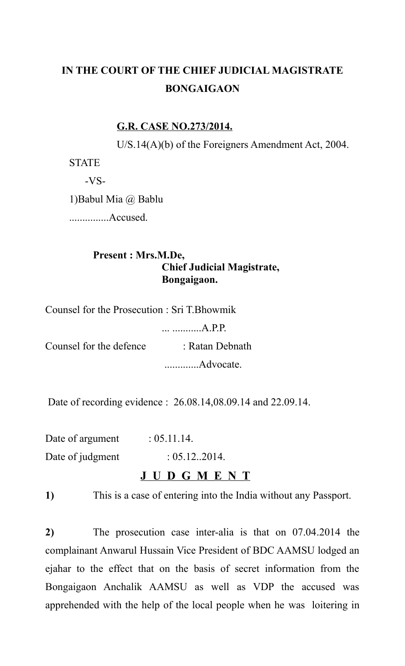# **IN THE COURT OF THE CHIEF JUDICIAL MAGISTRATE BONGAIGAON**

### **G.R. CASE NO.273/2014.**

U/S.14(A)(b) of the Foreigners Amendment Act, 2004.

**STATE** 

-VS-

1)Babul Mia @ Bablu

...............Accused.

### **Present : Mrs.M.De, Chief Judicial Magistrate, Bongaigaon.**

Counsel for the Prosecution : Sri T.Bhowmik

... ...........A.P.P.

Counsel for the defence : Ratan Debnath .............Advocate.

Date of recording evidence : 26.08.14,08.09.14 and 22.09.14.

Date of argument  $: 05.11.14$ . Date of judgment : 05.12.2014.

# **J U D G M E N T**

**1)** This is a case of entering into the India without any Passport.

**2)** The prosecution case inter-alia is that on 07.04.2014 the complainant Anwarul Hussain Vice President of BDC AAMSU lodged an ejahar to the effect that on the basis of secret information from the Bongaigaon Anchalik AAMSU as well as VDP the accused was apprehended with the help of the local people when he was loitering in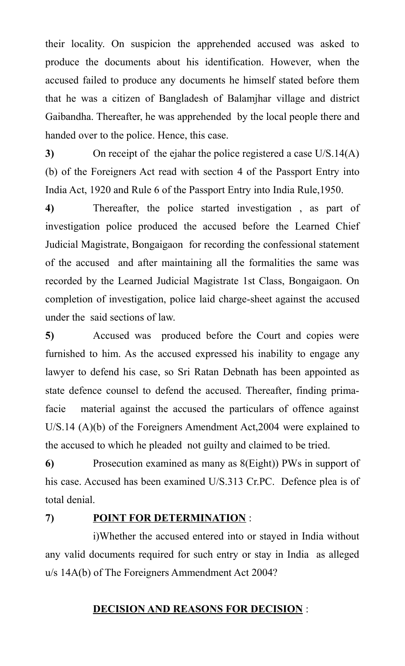their locality. On suspicion the apprehended accused was asked to produce the documents about his identification. However, when the accused failed to produce any documents he himself stated before them that he was a citizen of Bangladesh of Balamjhar village and district Gaibandha. Thereafter, he was apprehended by the local people there and handed over to the police. Hence, this case.

**3)** On receipt of the ejahar the police registered a case U/S.14(A) (b) of the Foreigners Act read with section 4 of the Passport Entry into India Act, 1920 and Rule 6 of the Passport Entry into India Rule,1950.

**4)** Thereafter, the police started investigation , as part of investigation police produced the accused before the Learned Chief Judicial Magistrate, Bongaigaon for recording the confessional statement of the accused and after maintaining all the formalities the same was recorded by the Learned Judicial Magistrate 1st Class, Bongaigaon. On completion of investigation, police laid charge-sheet against the accused under the said sections of law.

**5)** Accused was produced before the Court and copies were furnished to him. As the accused expressed his inability to engage any lawyer to defend his case, so Sri Ratan Debnath has been appointed as state defence counsel to defend the accused. Thereafter, finding primafacie material against the accused the particulars of offence against U/S.14 (A)(b) of the Foreigners Amendment Act,2004 were explained to the accused to which he pleaded not guilty and claimed to be tried.

**6)** Prosecution examined as many as 8(Eight)) PWs in support of his case. Accused has been examined U/S.313 Cr.PC. Defence plea is of total denial.

## **7) POINT FOR DETERMINATION** :

i)Whether the accused entered into or stayed in India without any valid documents required for such entry or stay in India as alleged u/s 14A(b) of The Foreigners Ammendment Act 2004?

#### **DECISION AND REASONS FOR DECISION** :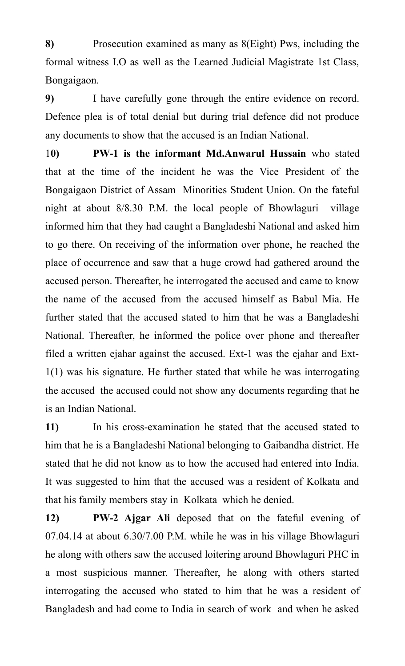**8)** Prosecution examined as many as 8(Eight) Pws, including the formal witness I.O as well as the Learned Judicial Magistrate 1st Class, Bongaigaon.

**9)** I have carefully gone through the entire evidence on record. Defence plea is of total denial but during trial defence did not produce any documents to show that the accused is an Indian National.

1**0) PW-1 is the informant Md.Anwarul Hussain** who stated that at the time of the incident he was the Vice President of the Bongaigaon District of Assam Minorities Student Union. On the fateful night at about 8/8.30 P.M. the local people of Bhowlaguri village informed him that they had caught a Bangladeshi National and asked him to go there. On receiving of the information over phone, he reached the place of occurrence and saw that a huge crowd had gathered around the accused person. Thereafter, he interrogated the accused and came to know the name of the accused from the accused himself as Babul Mia. He further stated that the accused stated to him that he was a Bangladeshi National. Thereafter, he informed the police over phone and thereafter filed a written ejahar against the accused. Ext-1 was the ejahar and Ext-1(1) was his signature. He further stated that while he was interrogating the accused the accused could not show any documents regarding that he is an Indian National.

**11)** In his cross-examination he stated that the accused stated to him that he is a Bangladeshi National belonging to Gaibandha district. He stated that he did not know as to how the accused had entered into India. It was suggested to him that the accused was a resident of Kolkata and that his family members stay in Kolkata which he denied.

**12) PW-2 Ajgar Ali** deposed that on the fateful evening of 07.04.14 at about 6.30/7.00 P.M. while he was in his village Bhowlaguri he along with others saw the accused loitering around Bhowlaguri PHC in a most suspicious manner. Thereafter, he along with others started interrogating the accused who stated to him that he was a resident of Bangladesh and had come to India in search of work and when he asked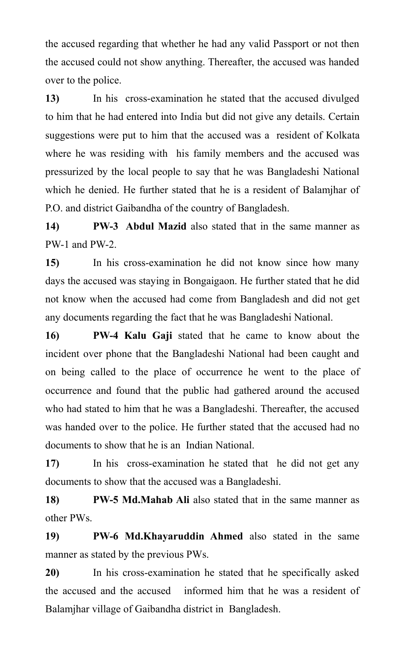the accused regarding that whether he had any valid Passport or not then the accused could not show anything. Thereafter, the accused was handed over to the police.

**13)** In his cross-examination he stated that the accused divulged to him that he had entered into India but did not give any details. Certain suggestions were put to him that the accused was a resident of Kolkata where he was residing with his family members and the accused was pressurized by the local people to say that he was Bangladeshi National which he denied. He further stated that he is a resident of Balamjhar of P.O. and district Gaibandha of the country of Bangladesh.

**14) PW-3 Abdul Mazid** also stated that in the same manner as PW-1 and PW-2

**15)** In his cross-examination he did not know since how many days the accused was staying in Bongaigaon. He further stated that he did not know when the accused had come from Bangladesh and did not get any documents regarding the fact that he was Bangladeshi National.

**16) PW-4 Kalu Gaji** stated that he came to know about the incident over phone that the Bangladeshi National had been caught and on being called to the place of occurrence he went to the place of occurrence and found that the public had gathered around the accused who had stated to him that he was a Bangladeshi. Thereafter, the accused was handed over to the police. He further stated that the accused had no documents to show that he is an Indian National.

**17)** In his cross-examination he stated that he did not get any documents to show that the accused was a Bangladeshi.

**18) PW-5 Md.Mahab Ali** also stated that in the same manner as other PWs.

**19) PW-6 Md.Khayaruddin Ahmed** also stated in the same manner as stated by the previous PWs.

**20)** In his cross-examination he stated that he specifically asked the accused and the accused informed him that he was a resident of Balamjhar village of Gaibandha district in Bangladesh.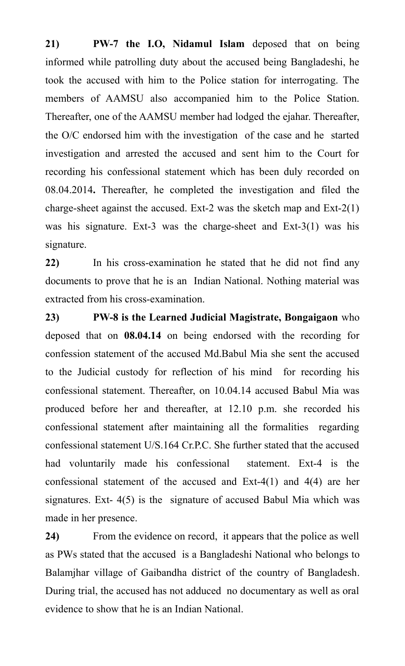**21) PW-7 the I.O, Nidamul Islam** deposed that on being informed while patrolling duty about the accused being Bangladeshi, he took the accused with him to the Police station for interrogating. The members of AAMSU also accompanied him to the Police Station. Thereafter, one of the AAMSU member had lodged the ejahar. Thereafter, the O/C endorsed him with the investigation of the case and he started investigation and arrested the accused and sent him to the Court for recording his confessional statement which has been duly recorded on 08.04.2014**.** Thereafter, he completed the investigation and filed the charge-sheet against the accused. Ext-2 was the sketch map and Ext-2(1) was his signature. Ext-3 was the charge-sheet and Ext-3(1) was his signature.

**22)** In his cross-examination he stated that he did not find any documents to prove that he is an Indian National. Nothing material was extracted from his cross-examination.

**23) PW-8 is the Learned Judicial Magistrate, Bongaigaon** who deposed that on **08.04.14** on being endorsed with the recording for confession statement of the accused Md.Babul Mia she sent the accused to the Judicial custody for reflection of his mind for recording his confessional statement. Thereafter, on 10.04.14 accused Babul Mia was produced before her and thereafter, at 12.10 p.m. she recorded his confessional statement after maintaining all the formalities regarding confessional statement U/S.164 Cr.P.C. She further stated that the accused had voluntarily made his confessional statement. Ext-4 is the confessional statement of the accused and Ext-4(1) and 4(4) are her signatures. Ext-  $4(5)$  is the signature of accused Babul Mia which was made in her presence.

**24)** From the evidence on record, it appears that the police as well as PWs stated that the accused is a Bangladeshi National who belongs to Balamjhar village of Gaibandha district of the country of Bangladesh. During trial, the accused has not adduced no documentary as well as oral evidence to show that he is an Indian National.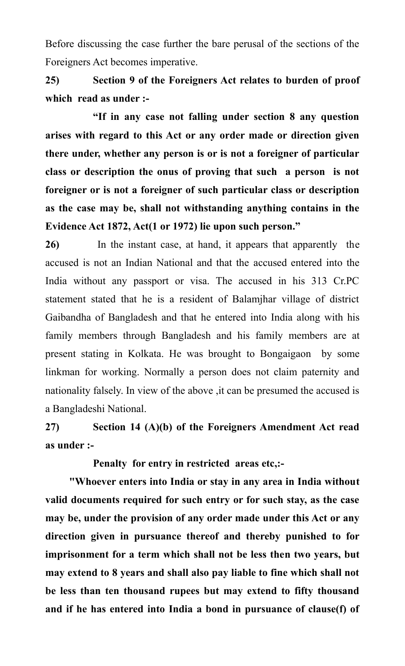Before discussing the case further the bare perusal of the sections of the Foreigners Act becomes imperative.

**25) Section 9 of the Foreigners Act relates to burden of proof which read as under :-**

**"If in any case not falling under section 8 any question arises with regard to this Act or any order made or direction given there under, whether any person is or is not a foreigner of particular class or description the onus of proving that such a person is not foreigner or is not a foreigner of such particular class or description as the case may be, shall not withstanding anything contains in the Evidence Act 1872, Act(1 or 1972) lie upon such person."**

**26)** In the instant case, at hand, it appears that apparently the accused is not an Indian National and that the accused entered into the India without any passport or visa. The accused in his 313 Cr.PC statement stated that he is a resident of Balamjhar village of district Gaibandha of Bangladesh and that he entered into India along with his family members through Bangladesh and his family members are at present stating in Kolkata. He was brought to Bongaigaon by some linkman for working. Normally a person does not claim paternity and nationality falsely. In view of the above ,it can be presumed the accused is a Bangladeshi National.

**27) Section 14 (A)(b) of the Foreigners Amendment Act read as under :-**

**Penalty for entry in restricted areas etc,:-**

**"Whoever enters into India or stay in any area in India without valid documents required for such entry or for such stay, as the case may be, under the provision of any order made under this Act or any direction given in pursuance thereof and thereby punished to for imprisonment for a term which shall not be less then two years, but may extend to 8 years and shall also pay liable to fine which shall not be less than ten thousand rupees but may extend to fifty thousand and if he has entered into India a bond in pursuance of clause(f) of**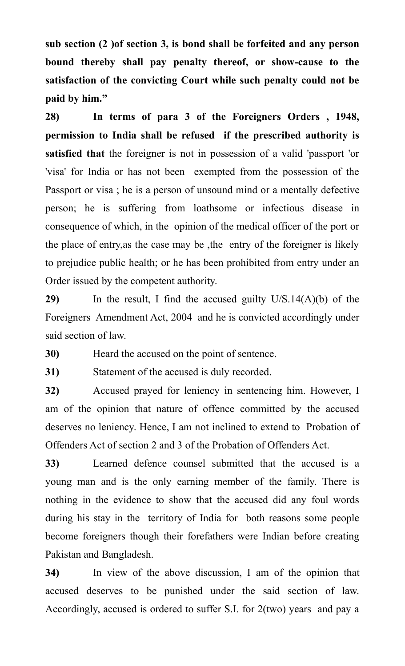**sub section (2 )of section 3, is bond shall be forfeited and any person bound thereby shall pay penalty thereof, or show-cause to the satisfaction of the convicting Court while such penalty could not be paid by him."**

**28) In terms of para 3 of the Foreigners Orders , 1948, permission to India shall be refused if the prescribed authority is satisfied that** the foreigner is not in possession of a valid 'passport 'or 'visa' for India or has not been exempted from the possession of the Passport or visa ; he is a person of unsound mind or a mentally defective person; he is suffering from loathsome or infectious disease in consequence of which, in the opinion of the medical officer of the port or the place of entry,as the case may be ,the entry of the foreigner is likely to prejudice public health; or he has been prohibited from entry under an Order issued by the competent authority.

**29)** In the result, I find the accused guilty U/S.14(A)(b) of the Foreigners Amendment Act, 2004 and he is convicted accordingly under said section of law.

**30)** Heard the accused on the point of sentence.

**31)** Statement of the accused is duly recorded.

**32)** Accused prayed for leniency in sentencing him. However, I am of the opinion that nature of offence committed by the accused deserves no leniency. Hence, I am not inclined to extend to Probation of Offenders Act of section 2 and 3 of the Probation of Offenders Act.

**33)** Learned defence counsel submitted that the accused is a young man and is the only earning member of the family. There is nothing in the evidence to show that the accused did any foul words during his stay in the territory of India for both reasons some people become foreigners though their forefathers were Indian before creating Pakistan and Bangladesh.

**34)** In view of the above discussion, I am of the opinion that accused deserves to be punished under the said section of law. Accordingly, accused is ordered to suffer S.I. for 2(two) years and pay a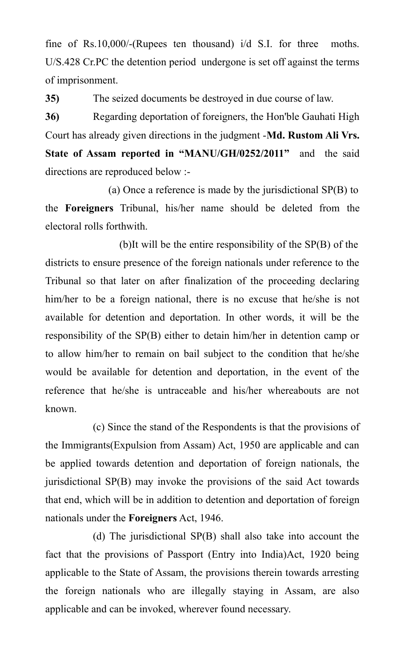fine of Rs.10,000/-(Rupees ten thousand) i/d S.I. for three moths. U/S.428 Cr.PC the detention period undergone is set off against the terms of imprisonment.

**35)** The seized documents be destroyed in due course of law.

**36)** Regarding deportation of foreigners, the Hon'ble Gauhati High Court has already given directions in the judgment -**Md. Rustom Ali Vrs. State of Assam reported in "MANU/GH/0252/2011"** and the said directions are reproduced below :-

 (a) Once a reference is made by the jurisdictional SP(B) to the **Foreigners** Tribunal, his/her name should be deleted from the electoral rolls forthwith.

 (b)It will be the entire responsibility of the SP(B) of the districts to ensure presence of the foreign nationals under reference to the Tribunal so that later on after finalization of the proceeding declaring him/her to be a foreign national, there is no excuse that he/she is not available for detention and deportation. In other words, it will be the responsibility of the SP(B) either to detain him/her in detention camp or to allow him/her to remain on bail subject to the condition that he/she would be available for detention and deportation, in the event of the reference that he/she is untraceable and his/her whereabouts are not known.

(c) Since the stand of the Respondents is that the provisions of the Immigrants(Expulsion from Assam) Act, 1950 are applicable and can be applied towards detention and deportation of foreign nationals, the jurisdictional SP(B) may invoke the provisions of the said Act towards that end, which will be in addition to detention and deportation of foreign nationals under the **Foreigners** Act, 1946.

(d) The jurisdictional SP(B) shall also take into account the fact that the provisions of Passport (Entry into India)Act, 1920 being applicable to the State of Assam, the provisions therein towards arresting the foreign nationals who are illegally staying in Assam, are also applicable and can be invoked, wherever found necessary.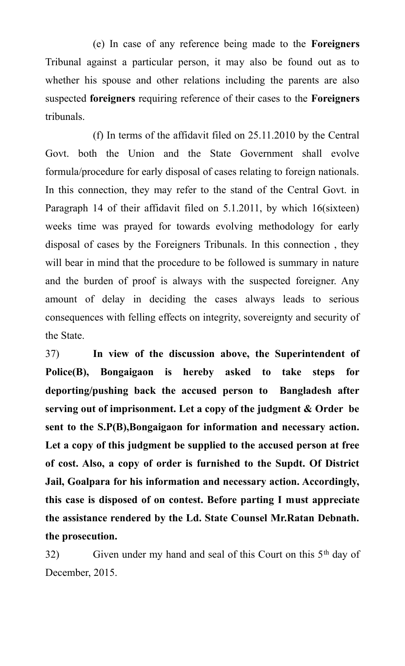(e) In case of any reference being made to the **Foreigners** Tribunal against a particular person, it may also be found out as to whether his spouse and other relations including the parents are also suspected **foreigners** requiring reference of their cases to the **Foreigners** tribunals.

(f) In terms of the affidavit filed on 25.11.2010 by the Central Govt. both the Union and the State Government shall evolve formula/procedure for early disposal of cases relating to foreign nationals. In this connection, they may refer to the stand of the Central Govt. in Paragraph 14 of their affidavit filed on 5.1.2011, by which 16(sixteen) weeks time was prayed for towards evolving methodology for early disposal of cases by the Foreigners Tribunals. In this connection , they will bear in mind that the procedure to be followed is summary in nature and the burden of proof is always with the suspected foreigner. Any amount of delay in deciding the cases always leads to serious consequences with felling effects on integrity, sovereignty and security of the State.

37) **In view of the discussion above, the Superintendent of Police(B), Bongaigaon is hereby asked to take steps for deporting/pushing back the accused person to Bangladesh after serving out of imprisonment. Let a copy of the judgment & Order be sent to the S.P(B),Bongaigaon for information and necessary action. Let a copy of this judgment be supplied to the accused person at free of cost. Also, a copy of order is furnished to the Supdt. Of District Jail, Goalpara for his information and necessary action. Accordingly, this case is disposed of on contest. Before parting I must appreciate the assistance rendered by the Ld. State Counsel Mr.Ratan Debnath. the prosecution.**

 $32)$  Given under my hand and seal of this Court on this  $5<sup>th</sup>$  day of December, 2015.